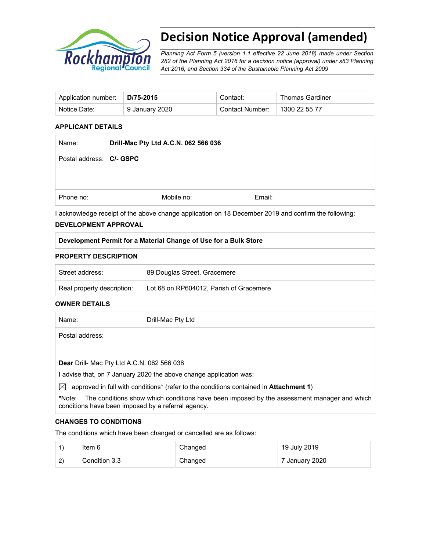

# **Decision Notice Approval (amended)**

*Planning Act Form 5 (version 1.1 effective 22 June 2018) made under Section 282 of the Planning Act 2016 for a decision notice (approval) under s83 Planning Act 2016, and Section 334 of the Sustainable Planning Act 2009*

| Application number:   D/75-2015 |                | Contact:        | <b>Thomas Gardiner</b> |
|---------------------------------|----------------|-----------------|------------------------|
| Notice Date:                    | 9 January 2020 | Contact Number: | 1300 22 55 77          |

#### **APPLICANT DETAILS**

| Drill-Mac Pty Ltd A.C.N. 062 566 036 |            |        |
|--------------------------------------|------------|--------|
| Postal address: C/- GSPC             |            |        |
|                                      |            |        |
|                                      |            |        |
|                                      | Mobile no: | Email: |
|                                      |            |        |

I acknowledge receipt of the above change application on 18 December 2019 and confirm the following:

#### **DEVELOPMENT APPROVAL**

## **Development Permit for a Material Change of Use for a Bulk Store**

#### **PROPERTY DESCRIPTION**

| Street address:            | 89 Douglas Street, Gracemere            |
|----------------------------|-----------------------------------------|
| Real property description: | Lot 68 on RP604012. Parish of Gracemere |

#### **OWNER DETAILS**

| Name:                                             | Drill-Mac Pty Ltd                                                                     |
|---------------------------------------------------|---------------------------------------------------------------------------------------|
| Postal address:                                   |                                                                                       |
|                                                   |                                                                                       |
| <b>Dear</b> Drill- Mac Pty Ltd A.C.N. 062 566 036 |                                                                                       |
|                                                   | I advise that, on 7 January 2020 the above change application was:                    |
| $\bowtie$                                         | approved in full with conditions* (refer to the conditions contained in Attachment 1) |

**\***Note:The conditions show which conditions have been imposed by the assessment manager and which conditions have been imposed by a referral agency.

#### **CHANGES TO CONDITIONS**

The conditions which have been changed or cancelled are as follows:

|     | ltem 6        | Changed | 19 July 2019              |
|-----|---------------|---------|---------------------------|
| (2) | Condition 3.3 | Changed | $^{\circ}$ 7 January 2020 |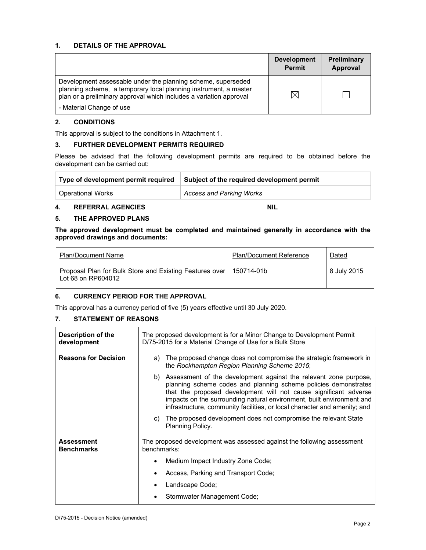#### **1. DETAILS OF THE APPROVAL**

|                                                                                                                                                                                                        | <b>Development</b><br><b>Permit</b> | <b>Preliminary</b><br>Approval |
|--------------------------------------------------------------------------------------------------------------------------------------------------------------------------------------------------------|-------------------------------------|--------------------------------|
| Development assessable under the planning scheme, superseded<br>planning scheme, a temporary local planning instrument, a master<br>plan or a preliminary approval which includes a variation approval |                                     |                                |
| - Material Change of use                                                                                                                                                                               |                                     |                                |

#### **2. CONDITIONS**

This approval is subject to the conditions in Attachment 1.

#### **3. FURTHER DEVELOPMENT PERMITS REQUIRED**

Please be advised that the following development permits are required to be obtained before the development can be carried out:

| Type of development permit required | Subject of the required development permit |  |  |
|-------------------------------------|--------------------------------------------|--|--|
| Operational Works                   | Access and Parking Works                   |  |  |

#### **4. REFERRAL AGENCIES NIL**

#### **5. THE APPROVED PLANS**

**The approved development must be completed and maintained generally in accordance with the approved drawings and documents:** 

| <b>Plan/Document Name</b>                                                     | <b>Plan/Document Reference</b> | <b>Dated</b> |
|-------------------------------------------------------------------------------|--------------------------------|--------------|
| Proposal Plan for Bulk Store and Existing Features over<br>Lot 68 on RP604012 | 150714-01b                     | 8 July 2015  |

## **6. CURRENCY PERIOD FOR THE APPROVAL**

This approval has a currency period of five (5) years effective until 30 July 2020.

#### **7. STATEMENT OF REASONS**

| Description of the<br>development      | The proposed development is for a Minor Change to Development Permit<br>D/75-2015 for a Material Change of Use for a Bulk Store                                                                                                                                                                                                                                  |  |  |  |
|----------------------------------------|------------------------------------------------------------------------------------------------------------------------------------------------------------------------------------------------------------------------------------------------------------------------------------------------------------------------------------------------------------------|--|--|--|
| <b>Reasons for Decision</b>            | The proposed change does not compromise the strategic framework in<br>a)<br>the Rockhampton Region Planning Scheme 2015;                                                                                                                                                                                                                                         |  |  |  |
|                                        | b) Assessment of the development against the relevant zone purpose,<br>planning scheme codes and planning scheme policies demonstrates<br>that the proposed development will not cause significant adverse<br>impacts on the surrounding natural environment, built environment and<br>infrastructure, community facilities, or local character and amenity; and |  |  |  |
|                                        | c) The proposed development does not compromise the relevant State<br>Planning Policy.                                                                                                                                                                                                                                                                           |  |  |  |
| <b>Assessment</b><br><b>Benchmarks</b> | The proposed development was assessed against the following assessment<br>benchmarks:                                                                                                                                                                                                                                                                            |  |  |  |
|                                        | Medium Impact Industry Zone Code;                                                                                                                                                                                                                                                                                                                                |  |  |  |
|                                        | Access, Parking and Transport Code;                                                                                                                                                                                                                                                                                                                              |  |  |  |
|                                        | Landscape Code;                                                                                                                                                                                                                                                                                                                                                  |  |  |  |
|                                        | Stormwater Management Code;                                                                                                                                                                                                                                                                                                                                      |  |  |  |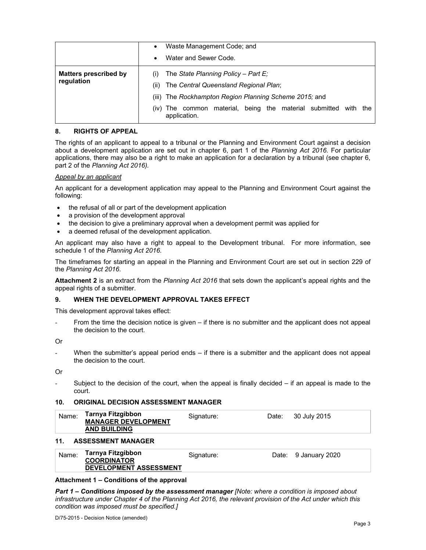|                                            | ٠           | Waste Management Code; and                                                                                                             |  |  |
|--------------------------------------------|-------------|----------------------------------------------------------------------------------------------------------------------------------------|--|--|
|                                            | $\bullet$   | Water and Sewer Code.                                                                                                                  |  |  |
| <b>Matters prescribed by</b><br>regulation | (i)<br>(ii) | The State Planning Policy - Part E;<br>The Central Queensland Regional Plan;<br>(iii) The Rockhampton Region Planning Scheme 2015; and |  |  |
|                                            | (iv)        | being the material submitted<br>material.<br>with<br>The common<br>the<br>application.                                                 |  |  |

#### **8. RIGHTS OF APPEAL**

The rights of an applicant to appeal to a tribunal or the Planning and Environment Court against a decision about a development application are set out in chapter 6, part 1 of the *Planning Act 2016*. For particular applications, there may also be a right to make an application for a declaration by a tribunal (see chapter 6, part 2 of the *Planning Act 2016).*

#### *Appeal by an applicant*

An applicant for a development application may appeal to the Planning and Environment Court against the following:

- the refusal of all or part of the development application
- a provision of the development approval
- the decision to give a preliminary approval when a development permit was applied for
- a deemed refusal of the development application.

An applicant may also have a right to appeal to the Development tribunal. For more information, see schedule 1 of the *Planning Act 2016*.

The timeframes for starting an appeal in the Planning and Environment Court are set out in section 229 of the *Planning Act 2016*.

**Attachment 2** is an extract from the *Planning Act 2016* that sets down the applicant's appeal rights and the appeal rights of a submitter.

#### **9. WHEN THE DEVELOPMENT APPROVAL TAKES EFFECT**

This development approval takes effect:

From the time the decision notice is given – if there is no submitter and the applicant does not appeal the decision to the court.

Or

When the submitter's appeal period ends  $-$  if there is a submitter and the applicant does not appeal the decision to the court.

Or

Subject to the decision of the court, when the appeal is finally decided  $-$  if an appeal is made to the court.

#### **10. ORIGINAL DECISION ASSESSMENT MANAGER**

| Name: | Tarnya Fitzgibbon<br><b>MANAGER DEVELOPMENT</b><br><b>AND BUILDING</b> | Signature: | Date: | 30 July 2015 |  |
|-------|------------------------------------------------------------------------|------------|-------|--------------|--|
|       |                                                                        |            |       |              |  |

#### **11. ASSESSMENT MANAGER**

| Name: | Tarnya Fitzgibbon             | Signature: | Date: 9 January 2020 |
|-------|-------------------------------|------------|----------------------|
|       | <b>COORDINATOR</b>            |            |                      |
|       | <b>DEVELOPMENT ASSESSMENT</b> |            |                      |

#### **Attachment 1 – Conditions of the approval**

*Part 1* **–** *Conditions imposed by the assessment manager [Note: where a condition is imposed about infrastructure under Chapter 4 of the Planning Act 2016, the relevant provision of the Act under which this condition was imposed must be specified.]*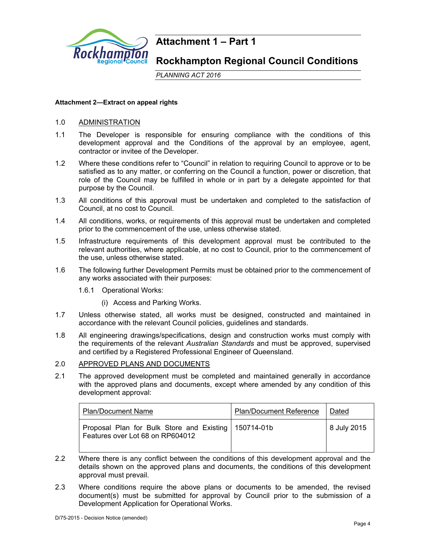

## **Attachment 1 – Part 1**

**Rockhampton Regional Council Conditions** 

*PLANNING ACT 2016*

#### **Attachment 2—Extract on appeal rights**

## 1.0 ADMINISTRATION

- 1.1 The Developer is responsible for ensuring compliance with the conditions of this development approval and the Conditions of the approval by an employee, agent, contractor or invitee of the Developer.
- 1.2 Where these conditions refer to "Council" in relation to requiring Council to approve or to be satisfied as to any matter, or conferring on the Council a function, power or discretion, that role of the Council may be fulfilled in whole or in part by a delegate appointed for that purpose by the Council.
- 1.3 All conditions of this approval must be undertaken and completed to the satisfaction of Council, at no cost to Council.
- 1.4 All conditions, works, or requirements of this approval must be undertaken and completed prior to the commencement of the use, unless otherwise stated.
- 1.5 Infrastructure requirements of this development approval must be contributed to the relevant authorities, where applicable, at no cost to Council, prior to the commencement of the use, unless otherwise stated.
- 1.6 The following further Development Permits must be obtained prior to the commencement of any works associated with their purposes:
	- 1.6.1 Operational Works:
		- (i) Access and Parking Works.
- 1.7 Unless otherwise stated, all works must be designed, constructed and maintained in accordance with the relevant Council policies, guidelines and standards.
- 1.8 All engineering drawings/specifications, design and construction works must comply with the requirements of the relevant *Australian Standards* and must be approved, supervised and certified by a Registered Professional Engineer of Queensland.

## 2.0 APPROVED PLANS AND DOCUMENTS

2.1 The approved development must be completed and maintained generally in accordance with the approved plans and documents, except where amended by any condition of this development approval:

| <b>Plan/Document Name</b>                                                                  | <b>Plan/Document Reference</b> | Dated       |
|--------------------------------------------------------------------------------------------|--------------------------------|-------------|
| Proposal Plan for Bulk Store and Existing   150714-01b<br>Features over Lot 68 on RP604012 |                                | 8 July 2015 |

- 2.2 Where there is any conflict between the conditions of this development approval and the details shown on the approved plans and documents, the conditions of this development approval must prevail.
- 2.3 Where conditions require the above plans or documents to be amended, the revised document(s) must be submitted for approval by Council prior to the submission of a Development Application for Operational Works.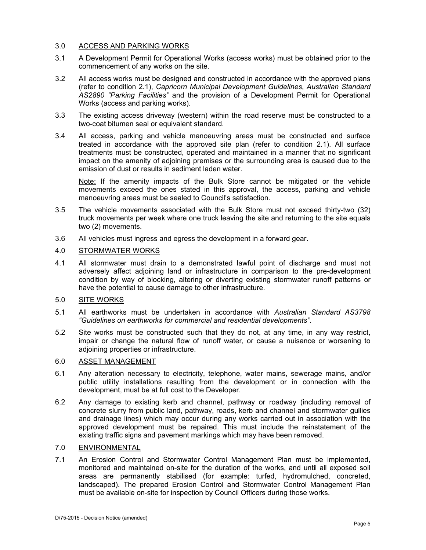## 3.0 ACCESS AND PARKING WORKS

- 3.1 A Development Permit for Operational Works (access works) must be obtained prior to the commencement of any works on the site.
- 3.2 All access works must be designed and constructed in accordance with the approved plans (refer to condition 2.1), *Capricorn Municipal Development Guidelines*, *Australian Standard AS2890 "Parking Facilities"* and the provision of a Development Permit for Operational Works (access and parking works).
- 3.3 The existing access driveway (western) within the road reserve must be constructed to a two-coat bitumen seal or equivalent standard.
- 3.4 All access, parking and vehicle manoeuvring areas must be constructed and surface treated in accordance with the approved site plan (refer to condition 2.1). All surface treatments must be constructed, operated and maintained in a manner that no significant impact on the amenity of adjoining premises or the surrounding area is caused due to the emission of dust or results in sediment laden water.

Note: If the amenity impacts of the Bulk Store cannot be mitigated or the vehicle movements exceed the ones stated in this approval, the access, parking and vehicle manoeuvring areas must be sealed to Council's satisfaction.

- 3.5 The vehicle movements associated with the Bulk Store must not exceed thirty-two (32) truck movements per week where one truck leaving the site and returning to the site equals two (2) movements.
- 3.6 All vehicles must ingress and egress the development in a forward gear.

## 4.0 STORMWATER WORKS

4.1 All stormwater must drain to a demonstrated lawful point of discharge and must not adversely affect adjoining land or infrastructure in comparison to the pre-development condition by way of blocking, altering or diverting existing stormwater runoff patterns or have the potential to cause damage to other infrastructure.

## 5.0 SITE WORKS

- 5.1 All earthworks must be undertaken in accordance with *Australian Standard AS3798 "Guidelines on earthworks for commercial and residential developments"*.
- 5.2 Site works must be constructed such that they do not, at any time, in any way restrict, impair or change the natural flow of runoff water, or cause a nuisance or worsening to adjoining properties or infrastructure.

#### 6.0 ASSET MANAGEMENT

- 6.1 Any alteration necessary to electricity, telephone, water mains, sewerage mains, and/or public utility installations resulting from the development or in connection with the development, must be at full cost to the Developer.
- 6.2 Any damage to existing kerb and channel, pathway or roadway (including removal of concrete slurry from public land, pathway, roads, kerb and channel and stormwater gullies and drainage lines) which may occur during any works carried out in association with the approved development must be repaired. This must include the reinstatement of the existing traffic signs and pavement markings which may have been removed.

## 7.0 ENVIRONMENTAL

7.1 An Erosion Control and Stormwater Control Management Plan must be implemented, monitored and maintained on-site for the duration of the works, and until all exposed soil areas are permanently stabilised (for example: turfed, hydromulched, concreted, landscaped). The prepared Erosion Control and Stormwater Control Management Plan must be available on-site for inspection by Council Officers during those works.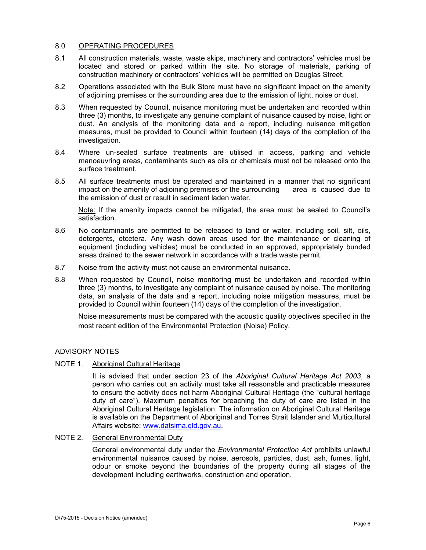#### 8.0 OPERATING PROCEDURES

- 8.1 All construction materials, waste, waste skips, machinery and contractors' vehicles must be located and stored or parked within the site. No storage of materials, parking of construction machinery or contractors' vehicles will be permitted on Douglas Street.
- 8.2 Operations associated with the Bulk Store must have no significant impact on the amenity of adjoining premises or the surrounding area due to the emission of light, noise or dust.
- 8.3 When requested by Council, nuisance monitoring must be undertaken and recorded within three (3) months, to investigate any genuine complaint of nuisance caused by noise, light or dust. An analysis of the monitoring data and a report, including nuisance mitigation measures, must be provided to Council within fourteen (14) days of the completion of the investigation.
- 8.4 Where un-sealed surface treatments are utilised in access, parking and vehicle manoeuvring areas, contaminants such as oils or chemicals must not be released onto the surface treatment.
- 8.5 All surface treatments must be operated and maintained in a manner that no significant impact on the amenity of adjoining premises or the surrounding area is caused due to the emission of dust or result in sediment laden water.

Note: If the amenity impacts cannot be mitigated, the area must be sealed to Council's satisfaction.

- 8.6 No contaminants are permitted to be released to land or water, including soil, silt, oils, detergents, etcetera. Any wash down areas used for the maintenance or cleaning of equipment (including vehicles) must be conducted in an approved, appropriately bunded areas drained to the sewer network in accordance with a trade waste permit.
- 8.7 Noise from the activity must not cause an environmental nuisance.
- 8.8 When requested by Council, noise monitoring must be undertaken and recorded within three (3) months, to investigate any complaint of nuisance caused by noise. The monitoring data, an analysis of the data and a report, including noise mitigation measures, must be provided to Council within fourteen (14) days of the completion of the investigation.

Noise measurements must be compared with the acoustic quality objectives specified in the most recent edition of the Environmental Protection (Noise) Policy.

#### ADVISORY NOTES

#### NOTE 1. Aboriginal Cultural Heritage

It is advised that under section 23 of the *Aboriginal Cultural Heritage Act 2003*, a person who carries out an activity must take all reasonable and practicable measures to ensure the activity does not harm Aboriginal Cultural Heritage (the "cultural heritage duty of care"). Maximum penalties for breaching the duty of care are listed in the Aboriginal Cultural Heritage legislation. The information on Aboriginal Cultural Heritage is available on the Department of Aboriginal and Torres Strait Islander and Multicultural Affairs website: www.datsima.qld.gov.au.

#### NOTE 2. General Environmental Duty

General environmental duty under the *Environmental Protection Act* prohibits unlawful environmental nuisance caused by noise, aerosols, particles, dust, ash, fumes, light, odour or smoke beyond the boundaries of the property during all stages of the development including earthworks, construction and operation.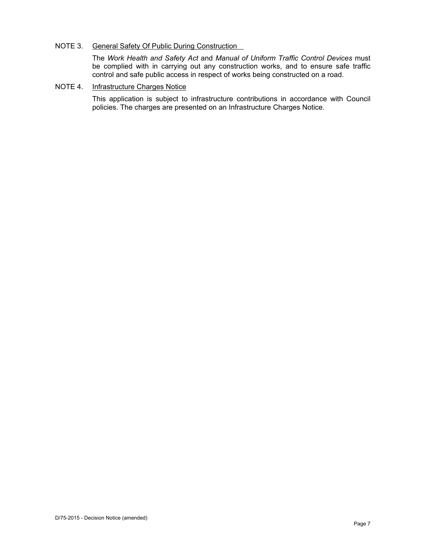## NOTE 3. General Safety Of Public During Construction

The *Work Health and Safety Act* and *Manual of Uniform Traffic Control Devices* must be complied with in carrying out any construction works, and to ensure safe traffic control and safe public access in respect of works being constructed on a road.

#### NOTE 4. Infrastructure Charges Notice

This application is subject to infrastructure contributions in accordance with Council policies. The charges are presented on an Infrastructure Charges Notice.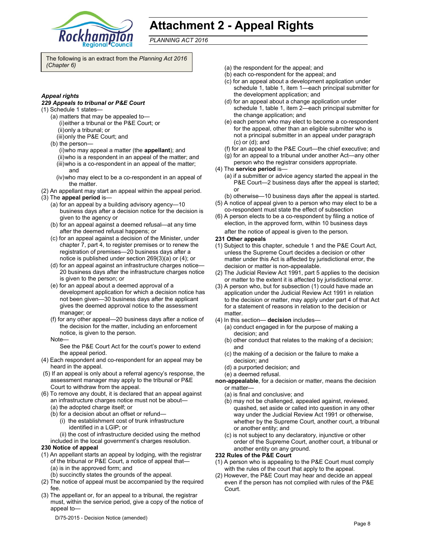

# **Attachment 2 - Appeal Rights**

*PLANNING ACT 2016*

The following is an extract from the *Planning Act 2016 (Chapter 6)* 

#### *Appeal rights*

#### *229 Appeals to tribunal or P&E Court*

- (1) Schedule 1 states—
	- (a) matters that may be appealed to— (i) either a tribunal or the P&E Court; or (ii) only a tribunal; or
	- (iii) only the P&E Court; and
	- (b) the person—
		- (i) who may appeal a matter (the **appellant**); and
		- (ii) who is a respondent in an appeal of the matter; and
		- (iii) who is a co-respondent in an appeal of the matter; and
		- (iv) who may elect to be a co-respondent in an appeal of the matter.
- (2) An appellant may start an appeal within the appeal period.
- (3) The **appeal period** is—
	- (a) for an appeal by a building advisory agency—10 business days after a decision notice for the decision is given to the agency or
	- (b) for an appeal against a deemed refusal—at any time after the deemed refusal happens; or
	- (c) for an appeal against a decision of the Minister, under chapter 7, part 4, to register premises or to renew the registration of premises—20 business days after a notice is published under section 269(3)(a) or (4); or
	- (d) for an appeal against an infrastructure charges notice— 20 business days after the infrastructure charges notice is given to the person; or
	- (e) for an appeal about a deemed approval of a development application for which a decision notice has not been given—30 business days after the applicant gives the deemed approval notice to the assessment manager; or
	- (f) for any other appeal—20 business days after a notice of the decision for the matter, including an enforcement notice, is given to the person.
	- Note—

See the P&E Court Act for the court's power to extend the appeal period.

- (4) Each respondent and co-respondent for an appeal may be heard in the appeal.
- (5) If an appeal is only about a referral agency's response, the assessment manager may apply to the tribunal or P&E Court to withdraw from the appeal.
- (6) To remove any doubt, it is declared that an appeal against an infrastructure charges notice must not be about—
	- (a) the adopted charge itself; or
	- (b) for a decision about an offset or refund— (i) the establishment cost of trunk infrastructure identified in a LGIP; or

(ii) the cost of infrastructure decided using the method included in the local government's charges resolution.

#### **230 Notice of appeal**

- (1) An appellant starts an appeal by lodging, with the registrar of the tribunal or P&E Court, a notice of appeal that— (a) is in the approved form; and
	- (b) succinctly states the grounds of the appeal.
- (2) The notice of appeal must be accompanied by the required fee.
- (3) The appellant or, for an appeal to a tribunal, the registrar must, within the service period, give a copy of the notice of appeal to—
	- D/75-2015 Decision Notice (amended)
- (a) the respondent for the appeal; and
- (b) each co-respondent for the appeal; and
- (c) for an appeal about a development application under schedule 1, table 1, item 1—each principal submitter for the development application; and
- (d) for an appeal about a change application under schedule 1, table 1, item 2—each principal submitter for the change application; and
- (e) each person who may elect to become a co-respondent for the appeal, other than an eligible submitter who is not a principal submitter in an appeal under paragraph (c) or (d); and
- (f) for an appeal to the P&E Court—the chief executive; and
- (g) for an appeal to a tribunal under another Act—any other
- person who the registrar considers appropriate. (4) The **service period** is—
	- (a) if a submitter or advice agency started the appeal in the P&E Court—2 business days after the appeal is started; or
	- (b) otherwise—10 business days after the appeal is started.
- (5) A notice of appeal given to a person who may elect to be a co-respondent must state the effect of subsection
- (6) A person elects to be a co-respondent by filing a notice of election, in the approved form, within 10 business days
	- after the notice of appeal is given to the person*.*

#### **231 Other appeals**

- (1) Subject to this chapter, schedule 1 and the P&E Court Act, unless the Supreme Court decides a decision or other matter under this Act is affected by jurisdictional error, the decision or matter is non-appealable.
- (2) The Judicial Review Act 1991, part 5 applies to the decision or matter to the extent it is affected by jurisdictional error.
- (3) A person who, but for subsection (1) could have made an application under the Judicial Review Act 1991 in relation to the decision or matter, may apply under part 4 of that Act for a statement of reasons in relation to the decision or matter.
- (4) In this section— **decision** includes—
	- (a) conduct engaged in for the purpose of making a decision; and
	- (b) other conduct that relates to the making of a decision; and
	- (c) the making of a decision or the failure to make a decision; and
	- (d) a purported decision; and
	- (e) a deemed refusal.
- **non-appealable**, for a decision or matter, means the decision or matter—
	- (a) is final and conclusive; and
	- (b) may not be challenged, appealed against, reviewed, quashed, set aside or called into question in any other way under the Judicial Review Act 1991 or otherwise, whether by the Supreme Court, another court, a tribunal or another entity; and
	- (c) is not subject to any declaratory, injunctive or other order of the Supreme Court, another court, a tribunal or another entity on any ground.

#### **232 Rules of the P&E Court**

- (1) A person who is appealing to the P&E Court must comply with the rules of the court that apply to the appeal.
- (2) However, the P&E Court may hear and decide an appeal even if the person has not complied with rules of the P&E Court.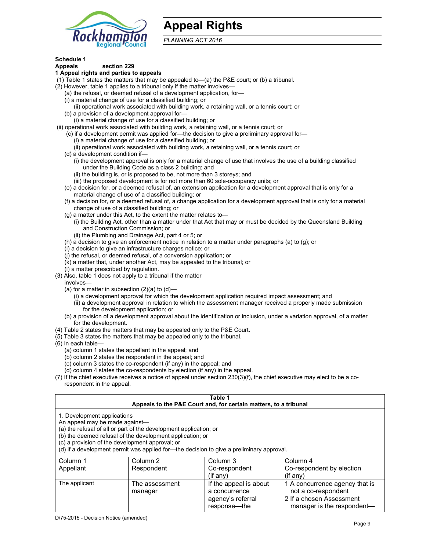

## **Appeal Rights**

*PLANNING ACT 2016*

## **Schedule 1**

#### **Appeals section 229 1 Appeal rights and parties to appeals**

- (1) Table 1 states the matters that may be appealed to—(a) the P&E court; or (b) a tribunal.
- (2) However, table 1 applies to a tribunal only if the matter involves—
	- (a) the refusal, or deemed refusal of a development application, for—
	- (i) a material change of use for a classified building; or
	- (ii) operational work associated with building work, a retaining wall, or a tennis court; or
	- (b) a provision of a development approval for—
	- (i) a material change of use for a classified building; or
- (ii) operational work associated with building work, a retaining wall, or a tennis court; or
	- (c) if a development permit was applied for—the decision to give a preliminary approval for—
		- (i) a material change of use for a classified building; or
		- (ii) operational work associated with building work, a retaining wall, or a tennis court; or
	- (d) a development condition if—
		- (i) the development approval is only for a material change of use that involves the use of a building classified under the Building Code as a class 2 building; and
		- (ii) the building is, or is proposed to be, not more than 3 storeys; and
		- (iii) the proposed development is for not more than 60 sole-occupancy units; or
	- (e) a decision for, or a deemed refusal of, an extension application for a development approval that is only for a material change of use of a classified building; or
	- (f) a decision for, or a deemed refusal of, a change application for a development approval that is only for a material change of use of a classified building; or
	- (g) a matter under this Act, to the extent the matter relates to—
		- (i) the Building Act, other than a matter under that Act that may or must be decided by the Queensland Building and Construction Commission; or
		- (ii) the Plumbing and Drainage Act, part 4 or 5; or
	- (h) a decision to give an enforcement notice in relation to a matter under paragraphs (a) to (g); or
	- (i) a decision to give an infrastructure charges notice; or
	- (j) the refusal, or deemed refusal, of a conversion application; or
	- (k) a matter that, under another Act, may be appealed to the tribunal; or
	- (l) a matter prescribed by regulation.
- (3) Also, table 1 does not apply to a tribunal if the matter
- involves—
	- (a) for a matter in subsection  $(2)(a)$  to  $(d)$ 
		- (i) a development approval for which the development application required impact assessment; and
		- (ii) a development approval in relation to which the assessment manager received a properly made submission for the development application; or
	- (b) a provision of a development approval about the identification or inclusion, under a variation approval, of a matter for the development.
- (4) Table 2 states the matters that may be appealed only to the P&E Court.
- (5) Table 3 states the matters that may be appealed only to the tribunal.
- (6) In each table—
	- (a) column 1 states the appellant in the appeal; and
	- (b) column 2 states the respondent in the appeal; and
	- (c) column 3 states the co-respondent (if any) in the appeal; and
	- (d) column 4 states the co-respondents by election (if any) in the appeal.
- (7) If the chief executive receives a notice of appeal under section 230(3)(f), the chief executive may elect to be a corespondent in the appeal.

| Table 1<br>Appeals to the P&E Court and, for certain matters, to a tribunal                                                                                                                                                                                                                                                                    |                           |                                         |                                                       |
|------------------------------------------------------------------------------------------------------------------------------------------------------------------------------------------------------------------------------------------------------------------------------------------------------------------------------------------------|---------------------------|-----------------------------------------|-------------------------------------------------------|
| 1. Development applications<br>An appeal may be made against-<br>(a) the refusal of all or part of the development application; or<br>(b) the deemed refusal of the development application; or<br>(c) a provision of the development approval; or<br>(d) if a development permit was applied for-the decision to give a preliminary approval. |                           |                                         |                                                       |
| Column 1                                                                                                                                                                                                                                                                                                                                       | Column 2                  | Column 3                                | Column 4                                              |
| Appellant                                                                                                                                                                                                                                                                                                                                      | Respondent                | Co-respondent<br>$(i$ f any $)$         | Co-respondent by election<br>$(i$ f anv $)$           |
| The applicant                                                                                                                                                                                                                                                                                                                                  | The assessment<br>manager | If the appeal is about<br>a concurrence | 1 A concurrence agency that is<br>not a co-respondent |

agency's referral response—the

2 If a chosen Assessment manager is the respondent-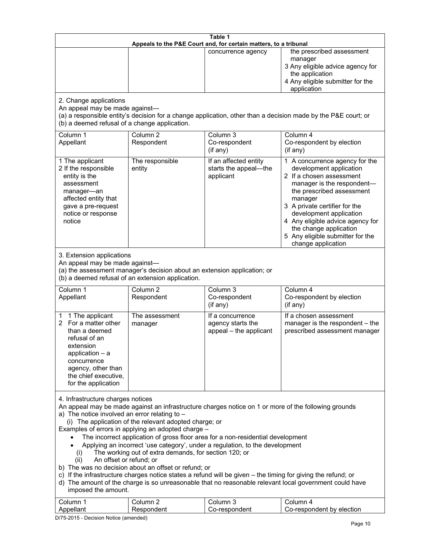| Table 1<br>Appeals to the P&E Court and, for certain matters, to a tribunal                                                                                                                                                                                                                                                                                                                                                                                                                                                                                                                                                                                                                                                                                                                                                                                                                                                                            |                                   |                                                                 |                                                                                                                                                                                                                                                                                                                                                 |
|--------------------------------------------------------------------------------------------------------------------------------------------------------------------------------------------------------------------------------------------------------------------------------------------------------------------------------------------------------------------------------------------------------------------------------------------------------------------------------------------------------------------------------------------------------------------------------------------------------------------------------------------------------------------------------------------------------------------------------------------------------------------------------------------------------------------------------------------------------------------------------------------------------------------------------------------------------|-----------------------------------|-----------------------------------------------------------------|-------------------------------------------------------------------------------------------------------------------------------------------------------------------------------------------------------------------------------------------------------------------------------------------------------------------------------------------------|
|                                                                                                                                                                                                                                                                                                                                                                                                                                                                                                                                                                                                                                                                                                                                                                                                                                                                                                                                                        |                                   | concurrence agency                                              | the prescribed assessment<br>manager<br>3 Any eligible advice agency for<br>the application<br>4 Any eligible submitter for the<br>application                                                                                                                                                                                                  |
| 2. Change applications<br>An appeal may be made against-<br>(b) a deemed refusal of a change application.                                                                                                                                                                                                                                                                                                                                                                                                                                                                                                                                                                                                                                                                                                                                                                                                                                              |                                   |                                                                 | (a) a responsible entity's decision for a change application, other than a decision made by the P&E court; or                                                                                                                                                                                                                                   |
| Column 1<br>Appellant                                                                                                                                                                                                                                                                                                                                                                                                                                                                                                                                                                                                                                                                                                                                                                                                                                                                                                                                  | Column <sub>2</sub><br>Respondent | Column 3<br>Co-respondent<br>(if any)                           | Column 4<br>Co-respondent by election<br>(if any)                                                                                                                                                                                                                                                                                               |
| 1 The applicant<br>2 If the responsible<br>entity is the<br>assessment<br>manager-an<br>affected entity that<br>gave a pre-request<br>notice or response<br>notice                                                                                                                                                                                                                                                                                                                                                                                                                                                                                                                                                                                                                                                                                                                                                                                     | The responsible<br>entity         | If an affected entity<br>starts the appeal-the<br>applicant     | 1 A concurrence agency for the<br>development application<br>2 If a chosen assessment<br>manager is the respondent-<br>the prescribed assessment<br>manager<br>3 A private certifier for the<br>development application<br>4 Any eligible advice agency for<br>the change application<br>5 Any eligible submitter for the<br>change application |
| 3. Extension applications<br>An appeal may be made against-<br>(a) the assessment manager's decision about an extension application; or<br>(b) a deemed refusal of an extension application.                                                                                                                                                                                                                                                                                                                                                                                                                                                                                                                                                                                                                                                                                                                                                           |                                   |                                                                 |                                                                                                                                                                                                                                                                                                                                                 |
| Column 1<br>Appellant                                                                                                                                                                                                                                                                                                                                                                                                                                                                                                                                                                                                                                                                                                                                                                                                                                                                                                                                  | Column <sub>2</sub><br>Respondent | Column 3<br>Co-respondent<br>(if any)                           | Column 4<br>Co-respondent by election<br>$($ if any $)$                                                                                                                                                                                                                                                                                         |
| 1 The applicant<br>1<br>For a matter other<br>2<br>than a deemed<br>refusal of an<br>extension<br>application $-$ a<br>concurrence<br>agency, other than<br>the chief executive,<br>for the application                                                                                                                                                                                                                                                                                                                                                                                                                                                                                                                                                                                                                                                                                                                                                | The assessment<br>manager         | If a concurrence<br>agency starts the<br>appeal - the applicant | If a chosen assessment<br>manager is the respondent - the<br>prescribed assessment manager                                                                                                                                                                                                                                                      |
| 4. Infrastructure charges notices<br>An appeal may be made against an infrastructure charges notice on 1 or more of the following grounds<br>a) The notice involved an error relating to $-$<br>(i) The application of the relevant adopted charge; or<br>Examples of errors in applying an adopted charge -<br>The incorrect application of gross floor area for a non-residential development<br>Applying an incorrect 'use category', under a regulation, to the development<br>The working out of extra demands, for section 120; or<br>(i)<br>An offset or refund; or<br>(ii)<br>b) The was no decision about an offset or refund; or<br>c) If the infrastructure charges notice states a refund will be given - the timing for giving the refund; or<br>d) The amount of the charge is so unreasonable that no reasonable relevant local government could have<br>imposed the amount.<br>Column 3<br>Column 1<br>Column <sub>2</sub><br>Column 4 |                                   |                                                                 |                                                                                                                                                                                                                                                                                                                                                 |
| Appellant                                                                                                                                                                                                                                                                                                                                                                                                                                                                                                                                                                                                                                                                                                                                                                                                                                                                                                                                              | Respondent                        | Co-respondent                                                   | Co-respondent by election                                                                                                                                                                                                                                                                                                                       |

D/75-2015 - Decision Notice (amended)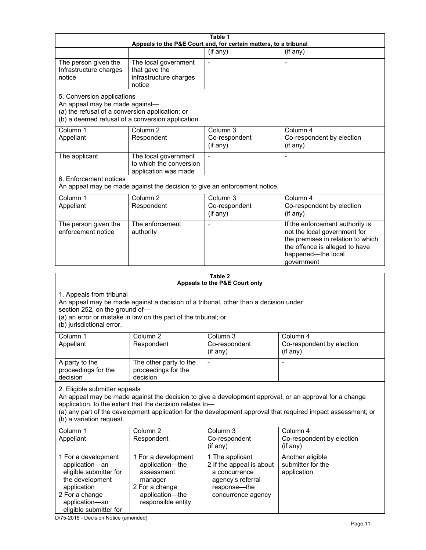| Table 1<br>Appeals to the P&E Court and, for certain matters, to a tribunal                                                                                                                                                                      |                                                                                                                            |                                                                                                                         |                                                                                                                                                                                                                        |  |
|--------------------------------------------------------------------------------------------------------------------------------------------------------------------------------------------------------------------------------------------------|----------------------------------------------------------------------------------------------------------------------------|-------------------------------------------------------------------------------------------------------------------------|------------------------------------------------------------------------------------------------------------------------------------------------------------------------------------------------------------------------|--|
|                                                                                                                                                                                                                                                  |                                                                                                                            | (if any)                                                                                                                | (if any)                                                                                                                                                                                                               |  |
| The person given the<br>Infrastructure charges<br>notice                                                                                                                                                                                         | The local government<br>that gave the<br>infrastructure charges<br>notice                                                  | $\blacksquare$                                                                                                          |                                                                                                                                                                                                                        |  |
| 5. Conversion applications<br>An appeal may be made against-<br>(a) the refusal of a conversion application; or                                                                                                                                  | (b) a deemed refusal of a conversion application.                                                                          |                                                                                                                         |                                                                                                                                                                                                                        |  |
| Column 1<br>Appellant                                                                                                                                                                                                                            | Column <sub>2</sub><br>Respondent                                                                                          | Column <sub>3</sub><br>Co-respondent<br>(if any)                                                                        | Column 4<br>Co-respondent by election<br>(if any)                                                                                                                                                                      |  |
| The applicant                                                                                                                                                                                                                                    | The local government<br>to which the conversion<br>application was made                                                    |                                                                                                                         |                                                                                                                                                                                                                        |  |
| 6. Enforcement notices                                                                                                                                                                                                                           | An appeal may be made against the decision to give an enforcement notice.                                                  |                                                                                                                         |                                                                                                                                                                                                                        |  |
| Column 1<br>Appellant                                                                                                                                                                                                                            | Column <sub>2</sub><br>Respondent                                                                                          | Column <sub>3</sub><br>Co-respondent<br>(if any)                                                                        | Column 4<br>Co-respondent by election<br>(if any)                                                                                                                                                                      |  |
| The person given the<br>enforcement notice                                                                                                                                                                                                       | The enforcement<br>authority                                                                                               |                                                                                                                         | If the enforcement authority is<br>not the local government for<br>the premises in relation to which<br>the offence is alleged to have<br>happened-the local<br>government                                             |  |
|                                                                                                                                                                                                                                                  |                                                                                                                            | Table 2                                                                                                                 |                                                                                                                                                                                                                        |  |
|                                                                                                                                                                                                                                                  |                                                                                                                            | Appeals to the P&E Court only                                                                                           |                                                                                                                                                                                                                        |  |
| 1. Appeals from tribunal<br>An appeal may be made against a decision of a tribunal, other than a decision under<br>section 252, on the ground of-<br>(a) an error or mistake in law on the part of the tribunal; or<br>(b) jurisdictional error. |                                                                                                                            |                                                                                                                         |                                                                                                                                                                                                                        |  |
| Column 1<br>Appellant                                                                                                                                                                                                                            | Column <sub>2</sub><br>Respondent                                                                                          | Column 3<br>Co-respondent<br>(if any)                                                                                   | Column 4<br>Co-respondent by election<br>(if any)                                                                                                                                                                      |  |
| A party to the<br>proceedings for the<br>decision                                                                                                                                                                                                | The other party to the<br>proceedings for the<br>decision                                                                  |                                                                                                                         |                                                                                                                                                                                                                        |  |
| 2. Eligible submitter appeals<br>(b) a variation request.                                                                                                                                                                                        | application, to the extent that the decision relates to-                                                                   |                                                                                                                         | An appeal may be made against the decision to give a development approval, or an approval for a change<br>(a) any part of the development application for the development approval that required impact assessment; or |  |
| Column 1<br>Appellant                                                                                                                                                                                                                            | Column <sub>2</sub><br>Respondent                                                                                          | Column 3<br>Co-respondent<br>(if any)                                                                                   | Column 4<br>Co-respondent by election<br>(if any)                                                                                                                                                                      |  |
| 1 For a development<br>application-an<br>eligible submitter for<br>the development<br>application<br>2 For a change<br>application-an<br>eligible submitter for                                                                                  | 1 For a development<br>application-the<br>assessment<br>manager<br>2 For a change<br>application-the<br>responsible entity | 1 The applicant<br>2 If the appeal is about<br>a concurrence<br>agency's referral<br>response-the<br>concurrence agency | Another eligible<br>submitter for the<br>application                                                                                                                                                                   |  |

D/75-2015 - Decision Notice (amended)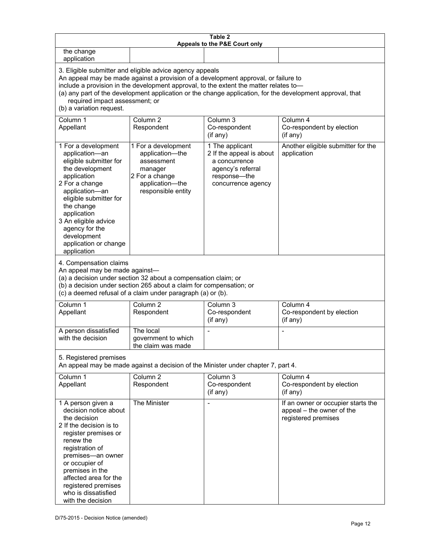| Table 2<br>Appeals to the P&E Court only                                                                                                                                                                                                                                                                                                                                                                           |                                                                                                                            |                                                                                                                         |                                                                                        |
|--------------------------------------------------------------------------------------------------------------------------------------------------------------------------------------------------------------------------------------------------------------------------------------------------------------------------------------------------------------------------------------------------------------------|----------------------------------------------------------------------------------------------------------------------------|-------------------------------------------------------------------------------------------------------------------------|----------------------------------------------------------------------------------------|
| the change<br>application                                                                                                                                                                                                                                                                                                                                                                                          |                                                                                                                            |                                                                                                                         |                                                                                        |
| 3. Eligible submitter and eligible advice agency appeals<br>An appeal may be made against a provision of a development approval, or failure to<br>include a provision in the development approval, to the extent the matter relates to-<br>(a) any part of the development application or the change application, for the development approval, that<br>required impact assessment; or<br>(b) a variation request. |                                                                                                                            |                                                                                                                         |                                                                                        |
| Column 1<br>Appellant                                                                                                                                                                                                                                                                                                                                                                                              | Column <sub>2</sub><br>Respondent                                                                                          | Column <sub>3</sub><br>Co-respondent<br>(if any)                                                                        | Column 4<br>Co-respondent by election<br>(if any)                                      |
| 1 For a development<br>application-an<br>eligible submitter for<br>the development<br>application<br>2 For a change<br>application-an<br>eligible submitter for<br>the change<br>application<br>3 An eligible advice<br>agency for the<br>development<br>application or change<br>application                                                                                                                      | 1 For a development<br>application-the<br>assessment<br>manager<br>2 For a change<br>application-the<br>responsible entity | 1 The applicant<br>2 If the appeal is about<br>a concurrence<br>agency's referral<br>response-the<br>concurrence agency | Another eligible submitter for the<br>application                                      |
| 4. Compensation claims<br>An appeal may be made against-<br>(a) a decision under section 32 about a compensation claim; or<br>(b) a decision under section 265 about a claim for compensation; or<br>(c) a deemed refusal of a claim under paragraph (a) or (b).                                                                                                                                                   |                                                                                                                            |                                                                                                                         |                                                                                        |
| Column 1<br>Appellant                                                                                                                                                                                                                                                                                                                                                                                              | Column <sub>2</sub><br>Respondent                                                                                          | Column $3$<br>Co-respondent<br>(if any)                                                                                 | Column 4<br>Co-respondent by election<br>(if any)                                      |
| A person dissatisfied<br>with the decision                                                                                                                                                                                                                                                                                                                                                                         | The local<br>government to which<br>the claim was made                                                                     |                                                                                                                         |                                                                                        |
| 5. Registered premises<br>An appeal may be made against a decision of the Minister under chapter 7, part 4.                                                                                                                                                                                                                                                                                                        |                                                                                                                            |                                                                                                                         |                                                                                        |
| Column 1<br>Appellant                                                                                                                                                                                                                                                                                                                                                                                              | Column <sub>2</sub><br>Respondent                                                                                          | Column 3<br>Co-respondent<br>(if any)                                                                                   | Column 4<br>Co-respondent by election<br>(if any)                                      |
| 1 A person given a<br>decision notice about<br>the decision<br>2 If the decision is to<br>register premises or<br>renew the<br>registration of<br>premises-an owner<br>or occupier of<br>premises in the<br>affected area for the<br>registered premises<br>who is dissatisfied<br>with the decision                                                                                                               | The Minister                                                                                                               |                                                                                                                         | If an owner or occupier starts the<br>appeal - the owner of the<br>registered premises |